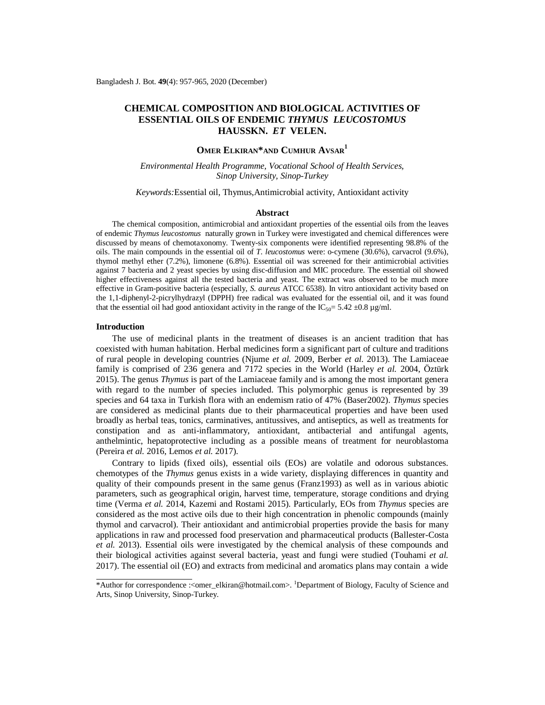# **CHEMICAL COMPOSITION AND BIOLOGICAL ACTIVITIES OF ESSENTIAL OILS OF ENDEMIC** *THYMUS LEUCOSTOMUS*  **HAUSSKN.** *ET* **VELEN.**

# **OMER ELKIRAN\*AND CUMHUR AVSAR<sup>1</sup>**

*Environmental Health Programme, Vocational School of Health Services, Sinop University, Sinop-Turkey*

### *Keywords:*Essential oil, Thymus,Antimicrobial activity, Antioxidant activity

#### **Abstract**

The chemical composition, antimicrobial and antioxidant properties of the essential oils from the leaves of endemic *Thymus leucostomus* naturally grown in Turkey were investigated and chemical differences were discussed by means of chemotaxonomy. Twenty-six components were identified representing 98.8% of the oils. The main compounds in the essential oil of *T. leucostomus* were: o-cymene (30.6%), carvacrol (9.6%), thymol methyl ether (7.2%), limonene (6.8%). Essential oil was screened for their antimicrobial activities against 7 bacteria and 2 yeast species by using disc-diffusion and MIC procedure. The essential oil showed higher effectiveness against all the tested bacteria and yeast. The extract was observed to be much more effective in Gram-positive bacteria (especially, *S. aureus* ATCC 6538). In vitro antioxidant activity based on the 1,1-diphenyl-2-picrylhydrazyl (DPPH) free radical was evaluated for the essential oil, and it was found that the essential oil had good antioxidant activity in the range of the IC<sub>50</sub>= 5.42  $\pm$ 0.8 µg/ml.

### **Introduction**

The use of medicinal plants in the treatment of diseases is an ancient tradition that has coexisted with human habitation. Herbal medicines form a significant part of culture and traditions of rural people in developing countries (Njume *et al.* 2009, Berber *et al.* 2013). The Lamiaceae family is comprised of 236 genera and 7172 species in the World (Harley *et al.* 2004, Öztürk 2015). The genus *Thymus* is part of the Lamiaceae family and is among the most important genera with regard to the number of species included. This polymorphic genus is represented by 39 species and 64 taxa in Turkish flora with an endemism ratio of 47% (Baser2002). *Thymus* species are considered as medicinal plants due to their pharmaceutical properties and have been used broadly as herbal teas, tonics, carminatives, antitussives, and antiseptics, as well as treatments for constipation and as anti-inflammatory, antioxidant, antibacterial and antifungal agents, anthelmintic, hepatoprotective including as a possible means of treatment for neuroblastoma (Pereira *et al.* 2016, Lemos *et al.* 2017).

Contrary to lipids (fixed oils), essential oils (EOs) are volatile and odorous substances. chemotypes of the *Thymus* genus exists in a wide variety, displaying differences in quantity and quality of their compounds present in the same genus (Franz1993) as well as in various abiotic parameters, such as geographical origin, harvest time, temperature, storage conditions and drying time (Verma *et al.* 2014, Kazemi and Rostami 2015). Particularly, EOs from *Thymus* species are considered as the most active oils due to their high concentration in phenolic compounds (mainly thymol and carvacrol). Their antioxidant and antimicrobial properties provide the basis for many applications in raw and processed food preservation and pharmaceutical products (Ballester-Costa *et al.* 2013). Essential oils were investigated by the chemical analysis of these compounds and their biological activities against several bacteria, yeast and fungi were studied (Touhami *et al.* 2017). The essential oil (EO) and extracts from medicinal and aromatics plans may contain a wide

<sup>\*</sup>Author for correspondence :[<omer\\_elkiran@hotmail.com>](mailto:omer_elkiran@hotmail.com). <sup>1</sup>Department of Biology, Faculty of Science and Arts, Sinop University, Sinop-Turkey.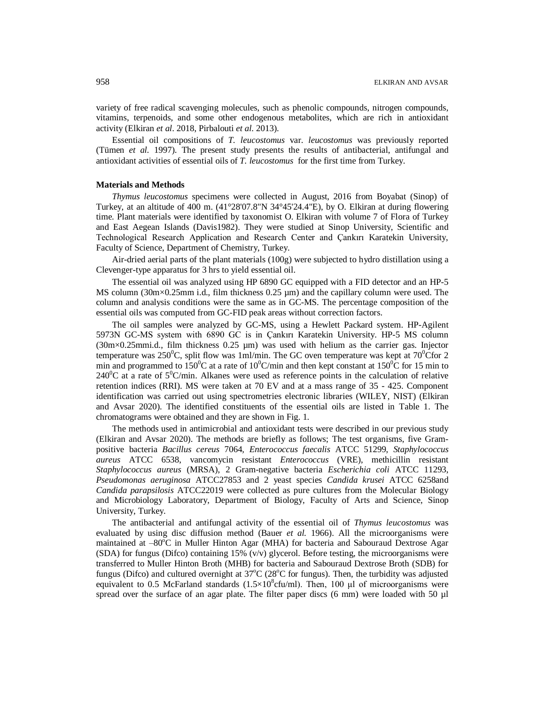variety of free radical scavenging molecules, such as phenolic compounds, nitrogen compounds, vitamins, terpenoids, and some other endogenous metabolites, which are rich in antioxidant activity (Elkiran *et al*. 2018, Pirbalouti *et al*. 2013).

Essential oil compositions of *T. leucostomus* var. *leucostomus* was previously reported (Tümen *et al.* 1997). The present study presents the results of antibacterial, antifungal and antioxidant activities of essential oils of *T. leucostomus* for the first time from Turkey.

## **Materials and Methods**

*Thymus leucostomus* specimens were collected in August, 2016 from Boyabat (Sinop) of Turkey, at an altitude of 400 m. (41°28'07.8"N 34°45'24.4"E), by O. Elkiran at during flowering time. Plant materials were identified by taxonomist O. Elkiran with volume 7 of Flora of Turkey and East Aegean Islands (Davis1982). They were studied at Sinop University, Scientific and Technological Research Application and Research Center and Çankırı Karatekin University, Faculty of Science, Department of Chemistry, Turkey.

Air-dried aerial parts of the plant materials (100g) were subjected to hydro distillation using a Clevenger-type apparatus for 3 hrs to yield essential oil.

The essential oil was analyzed using HP 6890 GC equipped with a FID detector and an HP-5 MS column (30m×0.25mm i.d., film thickness 0.25 µm) and the capillary column were used. The column and analysis conditions were the same as in GC-MS. The percentage composition of the essential oils was computed from GC-FID peak areas without correction factors.

The oil samples were analyzed by GC-MS, using a Hewlett Packard system. HP-Agilent 5973N GC-MS system with 6890 GC is in Çankırı Karatekin University. HP-5 MS column  $(30 \text{m} \times 0.25 \text{mm})$ . film thickness 0.25 µm) was used with helium as the carrier gas. Injector temperature was 250<sup>o</sup>C, split flow was 1ml/min. The GC oven temperature was kept at  $70^{\circ}$ Cfor 2 min and programmed to 150<sup>o</sup>C at a rate of 10<sup>o</sup>C/min and then kept constant at 150<sup>o</sup>C for 15 min to 240<sup>o</sup>C at a rate of 5<sup>o</sup>C/min. Alkanes were used as reference points in the calculation of relative retention indices (RRI). MS were taken at 70 EV and at a mass range of 35 - 425. Component identification was carried out using spectrometries electronic libraries (WILEY, NIST) (Elkiran and Avsar 2020). The identified constituents of the essential oils are listed in Table 1. The chromatograms were obtained and they are shown in Fig. 1.

The methods used in antimicrobial and antioxidant tests were described in our previous study (Elkiran and Avsar 2020). The methods are briefly as follows; The test organisms, five Grampositive bacteria *Bacillus cereus* 7064, *Enterococcus faecalis* ATCC 51299, *Staphylococcus aureus* ATCC 6538, vancomycin resistant *Enterococcus* (VRE), methicillin resistant *Staphylococcus aureus* (MRSA), 2 Gram-negative bacteria *Escherichia coli* ATCC 11293, *Pseudomonas aeruginosa* ATCC27853 and 2 yeast species *Candida krusei* ATCC 6258and *Candida parapsilosis* ATCC22019 were collected as pure cultures from the Molecular Biology and Microbiology Laboratory, Department of Biology, Faculty of Arts and Science, Sinop University, Turkey.

The antibacterial and antifungal activity of the essential oil of *Thymus leucostomus* was evaluated by using disc diffusion method (Bauer *et al.* 1966). All the microorganisms were maintained at -80°C in Muller Hinton Agar (MHA) for bacteria and Sabouraud Dextrose Agar (SDA) for fungus (Difco) containing 15% (v/v) glycerol. Before testing, the microorganisms were transferred to Muller Hinton Broth (MHB) for bacteria and Sabouraud Dextrose Broth (SDB) for fungus (Difco) and cultured overnight at  $37^{\circ}C$  ( $28^{\circ}C$  for fungus). Then, the turbidity was adjusted equivalent to 0.5 McFarland standards  $(1.5\times10^8$ cfu/ml). Then, 100 µl of microorganisms were spread over the surface of an agar plate. The filter paper discs (6 mm) were loaded with 50 µl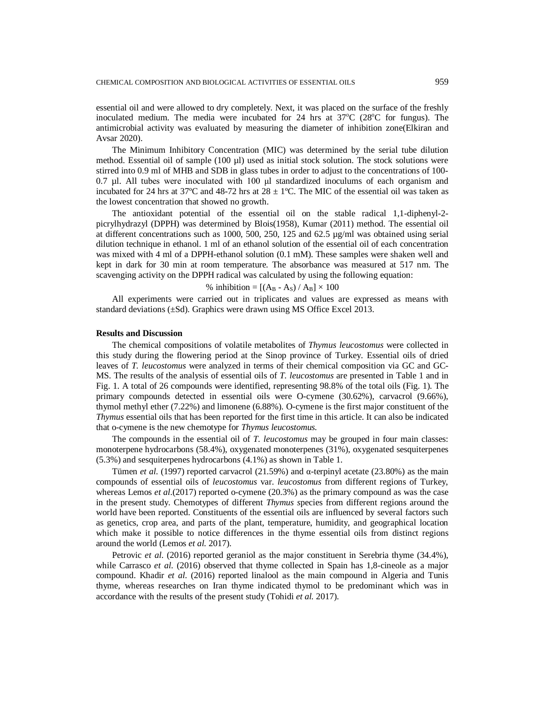essential oil and were allowed to dry completely. Next, it was placed on the surface of the freshly inoculated medium. The media were incubated for 24 hrs at  $37^{\circ}C$  (28 $^{\circ}C$  for fungus). The antimicrobial activity was evaluated by measuring the diameter of inhibition zone(Elkiran and Avsar 2020).

The Minimum Inhibitory Concentration (MIC) was determined by the serial tube dilution method. Essential oil of sample (100 µl) used as initial stock solution. The stock solutions were stirred into 0.9 ml of MHB and SDB in glass tubes in order to adjust to the concentrations of 100- 0.7 µl. All tubes were inoculated with 100 μl standardized inoculums of each organism and incubated for 24 hrs at 37°C and 48-72 hrs at  $28 \pm 1$ °C. The MIC of the essential oil was taken as the lowest concentration that showed no growth.

The antioxidant potential of the essential oil on the stable radical 1,1-diphenyl-2 picrylhydrazyl (DPPH) was determined by Blois(1958), Kumar (2011) method. The essential oil at different concentrations such as 1000, 500, 250, 125 and 62.5 µg/ml was obtained using serial dilution technique in ethanol. 1 ml of an ethanol solution of the essential oil of each concentration was mixed with 4 ml of a DPPH-ethanol solution (0.1 mM). These samples were shaken well and kept in dark for 30 min at room temperature. The absorbance was measured at 517 nm. The scavenging activity on the DPPH radical was calculated by using the following equation:

### % inhibition =  $[(A_B - A_S) / A_B] \times 100$

All experiments were carried out in triplicates and values are expressed as means with standard deviations (±Sd). Graphics were drawn using MS Office Excel 2013.

### **Results and Discussion**

The chemical compositions of volatile metabolites of *Thymus leucostomus* were collected in this study during the flowering period at the Sinop province of Turkey. Essential oils of dried leaves of *T. leucostomus* were analyzed in terms of their chemical composition via GC and GC-MS. The results of the analysis of essential oils of *T. leucostomus* are presented in Table 1 and in Fig. 1. A total of 26 compounds were identified, representing 98.8% of the total oils (Fig. 1). The primary compounds detected in essential oils were O-cymene (30.62%), carvacrol (9.66%), thymol methyl ether (7.22%) and limonene (6.88%). O-cymene is the first major constituent of the *Thymus* essential oils that has been reported for the first time in this article. It can also be indicated that o-cymene is the new chemotype for *Thymus leucostomus.*

The compounds in the essential oil of *T. leucostomus* may be grouped in four main classes: monoterpene hydrocarbons (58.4%), oxygenated monoterpenes (31%), oxygenated sesquiterpenes (5.3%) and sesquiterpenes hydrocarbons (4.1%) as shown in Table 1.

Tümen *et al*. (1997) reported carvacrol (21.59%) and α-terpinyl acetate (23.80%) as the main compounds of essential oils of *leucostomus* var. *leucostomus* from different regions of Turkey, whereas Lemos *et al.*(2017) reported o-cymene (20.3%) as the primary compound as was the case in the present study. Chemotypes of different *Thymus s*pecies from different regions around the world have been reported. Constituents of the essential oils are influenced by several factors such as genetics, crop area, and parts of the plant, temperature, humidity, and geographical location which make it possible to notice differences in the thyme essential oils from distinct regions around the world (Lemos *et al.* 2017).

Petrovic *et al.* (2016) reported geraniol as the major constituent in Serebria thyme (34.4%), while Carrasco *et al.* (2016) observed that thyme collected in Spain has 1,8-cineole as a major compound. Khadir *et al*. (2016) reported linalool as the main compound in Algeria and Tunis thyme, whereas researches on Iran thyme indicated thymol to be predominant which was in accordance with the results of the present study (Tohidi *et al.* 2017).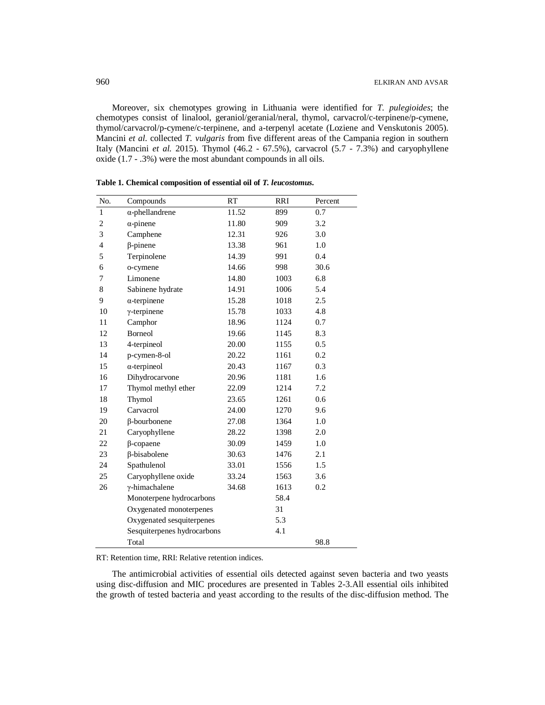Moreover, six chemotypes growing in Lithuania were identified for *T. pulegioides*; the chemotypes consist of linalool, geraniol/geranial/neral, thymol, carvacrol/c-terpinene/p-cymene, thymol/carvacrol/p-cymene/c-terpinene, and a-terpenyl acetate (Loziene and Venskutonis 2005). Mancini *et al*. collected *T. vulgaris* from five different areas of the Campania region in southern Italy (Mancini *et al.* 2015). Thymol (46.2 - 67.5%), carvacrol (5.7 - 7.3%) and caryophyllene oxide (1.7 - .3%) were the most abundant compounds in all oils.

| No.            | Compounds                   | <b>RT</b> | <b>RRI</b> | Percent |
|----------------|-----------------------------|-----------|------------|---------|
| $\mathbf{1}$   | $\alpha$ -phellandrene      | 11.52     | 899        | 0.7     |
| 2              | $\alpha$ -pinene            | 11.80     | 909        | 3.2     |
| 3              | Camphene                    | 12.31     | 926        | 3.0     |
| $\overline{4}$ | $\beta$ -pinene             | 13.38     | 961        | 1.0     |
| 5              | Terpinolene                 | 14.39     | 991        | 0.4     |
| 6              | o-cymene                    | 14.66     | 998        | 30.6    |
| 7              | Limonene                    | 14.80     | 1003       | 6.8     |
| 8              | Sabinene hydrate            | 14.91     | 1006       | 5.4     |
| 9              | $\alpha$ -terpinene         | 15.28     | 1018       | 2.5     |
| 10             | $\gamma$ -terpinene         | 15.78     | 1033       | 4.8     |
| 11             | Camphor                     | 18.96     | 1124       | 0.7     |
| 12             | <b>Borneol</b>              | 19.66     | 1145       | 8.3     |
| 13             | 4-terpineol                 | 20.00     | 1155       | 0.5     |
| 14             | p-cymen-8-ol                | 20.22     | 1161       | 0.2     |
| 15             | $\alpha$ -terpineol         | 20.43     | 1167       | 0.3     |
| 16             | Dihydrocarvone              | 20.96     | 1181       | 1.6     |
| 17             | Thymol methyl ether         | 22.09     | 1214       | 7.2     |
| 18             | Thymol                      | 23.65     | 1261       | 0.6     |
| 19             | Carvacrol                   | 24.00     | 1270       | 9.6     |
| 20             | β-bourbonene                | 27.08     | 1364       | 1.0     |
| 21             | Caryophyllene               | 28.22     | 1398       | 2.0     |
| 22             | $\beta$ -copaene            | 30.09     | 1459       | 1.0     |
| 23             | β-bisabolene                | 30.63     | 1476       | 2.1     |
| 24             | Spathulenol                 | 33.01     | 1556       | 1.5     |
| 25             | Caryophyllene oxide         | 33.24     | 1563       | 3.6     |
| 26             | $\gamma$ -himachalene       | 34.68     | 1613       | 0.2     |
|                | Monoterpene hydrocarbons    |           | 58.4       |         |
|                | Oxygenated monoterpenes     |           | 31         |         |
|                | Oxygenated sesquiterpenes   |           | 5.3        |         |
|                | Sesquiterpenes hydrocarbons |           | 4.1        |         |
|                | Total                       |           |            | 98.8    |

**Table 1. Chemical composition of essential oil of** *T. leucostomus.*

RT: Retention time, RRI: Relative retention indices.

The antimicrobial activities of essential oils detected against seven bacteria and two yeasts using disc-diffusion and MIC procedures are presented in Tables 2-3.All essential oils inhibited the growth of tested bacteria and yeast according to the results of the disc-diffusion method. The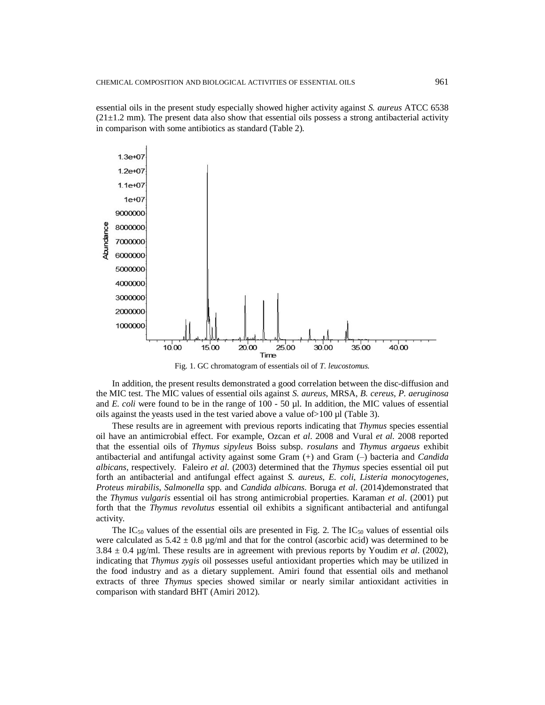essential oils in the present study especially showed higher activity against *S. aureus* ATCC 6538  $(21\pm1.2 \text{ mm})$ . The present data also show that essential oils possess a strong antibacterial activity in comparison with some antibiotics as standard (Table 2).



Fig. 1. GC chromatogram of essentials oil of *T. leucostomus.*

In addition, the present results demonstrated a good correlation between the disc-diffusion and the MIC test. The MIC values of essential oils against *S. aureus*, MRSA, *B. cereus*, *P. aeruginosa* and *E. coli* were found to be in the range of 100 - 50 µl. In addition, the MIC values of essential oils against the yeasts used in the test varied above a value of>100 µl (Table 3).

These results are in agreement with previous reports indicating that *Thymus* species essential oil have an antimicrobial effect. For example, Ozcan *et al*. 2008 and Vural *et al.* 2008 reported that the essential oils of *Thymus sipyleus* Boiss subsp. *rosulans* and *Thymus argaeus* exhibit antibacterial and antifungal activity against some Gram  $(+)$  and Gram  $(-)$  bacteria and *Candida albicans*, respectively. Faleiro *et al*. (2003) determined that the *Thymus* species essential oil put forth an antibacterial and antifungal effect against *S. aureus*, *E. coli*, *Listeria monocytogenes*, *Proteus mirabilis*, *Salmonella* spp. and *Candida albicans*. Boruga *et al*. (2014)demonstrated that the *Thymus vulgaris* essential oil has strong antimicrobial properties. Karaman *et al*. (2001) put forth that the *Thymus revolutus* essential oil exhibits a significant antibacterial and antifungal activity.

The IC<sub>50</sub> values of the essential oils are presented in Fig. 2. The IC<sub>50</sub> values of essential oils were calculated as  $5.42 \pm 0.8$  µg/ml and that for the control (ascorbic acid) was determined to be  $3.84 \pm 0.4$  µg/ml. These results are in agreement with previous reports by Youdim *et al.* (2002), indicating that *Thymus zygis* oil possesses useful antioxidant properties which may be utilized in the food industry and as a dietary supplement. Amiri found that essential oils and methanol extracts of three *Thymus* species showed similar or nearly similar antioxidant activities in comparison with standard BHT (Amiri 2012).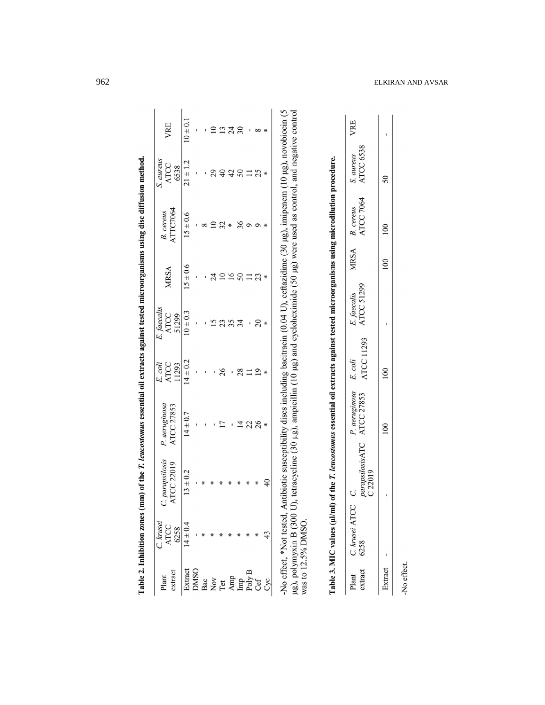| VRE                                                                                                                                                                                                                                                                          | $10 \pm 0.1$                 |  |   | 24 | $\overline{\mathrm{30}}$ |    |        |
|------------------------------------------------------------------------------------------------------------------------------------------------------------------------------------------------------------------------------------------------------------------------------|------------------------------|--|---|----|--------------------------|----|--------|
| S. aureus<br>ATCC<br>6538                                                                                                                                                                                                                                                    | $21 \pm 1.2$                 |  | ទ | 42 |                          | 25 |        |
| B. cereus<br>ATTC7064                                                                                                                                                                                                                                                        | $15 \pm 0.6$                 |  |   |    |                          |    |        |
| <b>MRSA</b>                                                                                                                                                                                                                                                                  | $15 \pm 0.6$                 |  |   |    |                          |    |        |
| E. faecalis<br>ATCC<br>51299                                                                                                                                                                                                                                                 | $\frac{10 \pm 0.3}{\pm 0.3}$ |  |   |    | 34                       |    | $\ast$ |
| E. coli<br>ATCC<br>11293                                                                                                                                                                                                                                                     | $14 \pm 0.2$                 |  |   |    |                          |    |        |
| ATCC 27853<br><sup>2</sup> . aeruginos                                                                                                                                                                                                                                       | $14 \pm 0.7$                 |  |   |    |                          | 26 |        |
| C. parapsilosis<br><b>ATCC 22019</b>                                                                                                                                                                                                                                         | $13 \pm 0.2$                 |  |   |    |                          |    |        |
| Plant C. $k$<br>$k$ ATCC<br>$k$ ATCC<br>$k$ ATCC<br>$k$ ATCC<br>$k$ ATCC<br>$k$ ATCC<br>$k$ ATCC<br>$k$ ATC<br>$k$ ATC<br>$k$ ATC<br>$k$ ATC<br>$k$ ATC<br>$k$ ATC<br>$k$ ATC<br>$k$ ATC<br>$k$ ATC<br>$k$ ATC<br>$k$ ATC<br>$k$ ATC<br>$k$ ATC<br>$k$ ATC<br>$k$ ATC<br>$k$ |                              |  |   |    |                          |    |        |
|                                                                                                                                                                                                                                                                              |                              |  |   |    |                          |    |        |

Table 2. Inhibition zones (mm) of the T. leucostomus essential oil extracts against tested microorganisms using disc diffusion method.

-No effect, \*Not tested, Antibiotic susceptibility discs including bacitracin (0.04 U), ceftazidime (30 µg), imipenem (10 µg), novobiocin (5 µg), polymyxin B (300 U), tetracycline (30 µg), ampicillin (10 µg) and cyclohexi

| $\ddot{\phantom{a}}$<br>$\overline{a}$                                                                                                                               |
|----------------------------------------------------------------------------------------------------------------------------------------------------------------------|
|                                                                                                                                                                      |
|                                                                                                                                                                      |
|                                                                                                                                                                      |
|                                                                                                                                                                      |
|                                                                                                                                                                      |
|                                                                                                                                                                      |
|                                                                                                                                                                      |
|                                                                                                                                                                      |
| ֖֖֖֚֚֚֚֚֚֬֝                                                                                                                                                          |
| ׇ֚֚֕֡                                                                                                                                                                |
| $\overline{a}$                                                                                                                                                       |
|                                                                                                                                                                      |
|                                                                                                                                                                      |
|                                                                                                                                                                      |
| $\overline{a}$                                                                                                                                                       |
|                                                                                                                                                                      |
|                                                                                                                                                                      |
|                                                                                                                                                                      |
| ֘֒                                                                                                                                                                   |
| $\overline{a}$                                                                                                                                                       |
|                                                                                                                                                                      |
| $\begin{array}{c} \begin{array}{c} \begin{array}{c} \begin{array}{c} \end{array} \\ \end{array} \\ \begin{array}{c} \end{array} \end{array} \end{array} \end{array}$ |
|                                                                                                                                                                      |
| $\overline{a}$                                                                                                                                                       |
|                                                                                                                                                                      |
|                                                                                                                                                                      |
|                                                                                                                                                                      |
|                                                                                                                                                                      |
|                                                                                                                                                                      |
|                                                                                                                                                                      |
|                                                                                                                                                                      |
|                                                                                                                                                                      |
| ֖֖ׅׅ֖֧֖֧֧֧֧֧֧֧֧֧֧֪ׅ֖֧֧֧֧֪ׅ֧֛֚֚֚֚֚֚֚֚֚֚֚֚֚֚֚֚֚֚֚֚֚֚֚֬֕֕֕֓֡֡֬֝֬֡֝֬֝֬֓֞֬֝֓֞֬֝֬֝֬֝֬֞֝֬֝֬֞֬֝֬֞֝֬֝֬֝֬֝֬                                                                    |
| $\overline{1}$                                                                                                                                                       |
| $\overline{a}$                                                                                                                                                       |
|                                                                                                                                                                      |
|                                                                                                                                                                      |
| ì                                                                                                                                                                    |
|                                                                                                                                                                      |
|                                                                                                                                                                      |
|                                                                                                                                                                      |
|                                                                                                                                                                      |
|                                                                                                                                                                      |
|                                                                                                                                                                      |
| I                                                                                                                                                                    |
|                                                                                                                                                                      |
| $\ddot{\phantom{a}}$                                                                                                                                                 |
| $\frac{1}{2}$                                                                                                                                                        |
|                                                                                                                                                                      |
|                                                                                                                                                                      |
|                                                                                                                                                                      |
|                                                                                                                                                                      |
|                                                                                                                                                                      |
|                                                                                                                                                                      |
|                                                                                                                                                                      |
|                                                                                                                                                                      |
|                                                                                                                                                                      |
|                                                                                                                                                                      |
|                                                                                                                                                                      |
|                                                                                                                                                                      |
| ł                                                                                                                                                                    |

| MRSA<br>E. faecalis<br>ATCC 51299 | E. coli | ATCC 27853<br>P. aeruginosa | ATCC 11293<br>arapsilosisATC<br>g<br>C. krusei AT<br>6258 |
|-----------------------------------|---------|-----------------------------|-----------------------------------------------------------|
|                                   |         |                             |                                                           |

-No effect.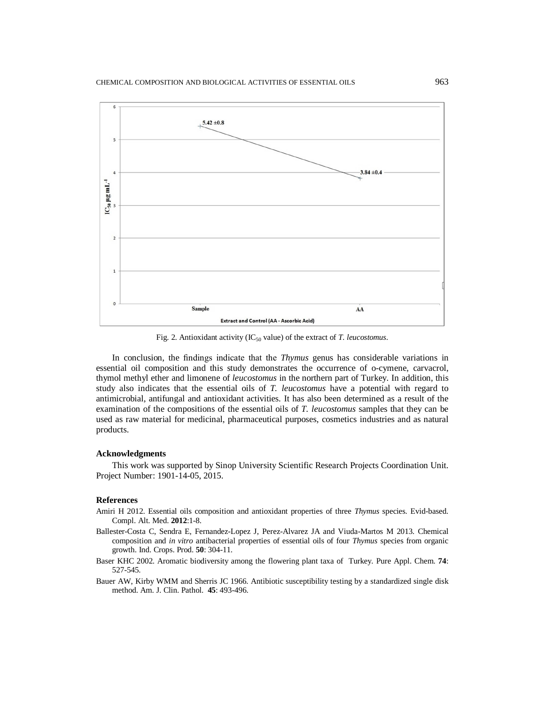

Fig. 2. Antioxidant activity (IC<sub>50</sub> value) of the extract of *T. leucostomus*.

In conclusion, the findings indicate that the *Thymus* genus has considerable variations in essential oil composition and this study demonstrates the occurrence of o-cymene, carvacrol, thymol methyl ether and limonene of *leucostomus* in the northern part of Turkey. In addition, this study also indicates that the essential oils of *T. leucostomus* have a potential with regard to antimicrobial, antifungal and antioxidant activities. It has also been determined as a result of the examination of the compositions of the essential oils of *T. leucostomus* samples that they can be used as raw material for medicinal, pharmaceutical purposes, cosmetics industries and as natural products.

### **Acknowledgments**

This work was supported by Sinop University Scientific Research Projects Coordination Unit. Project Number: 1901-14-05, 2015.

### **References**

- Amiri H 2012. Essential oils composition and antioxidant properties of three *Thymus* species. Evid-based. Compl. Alt. Med. **2012**:1-8.
- Ballester-Costa C, Sendra E, Fernandez-Lopez J, Perez-Alvarez JA and Viuda-Martos M 2013. Chemical composition and *in vitro* antibacterial properties of essential oils of four *Thymus* species from organic growth. Ind. Crops. Prod. **50**: 304-11.
- Baser KHC 2002. Aromatic biodiversity among the flowering plant taxa of Turkey. Pure Appl. Chem. **74**: 527-545.
- Bauer AW, Kirby WMM and Sherris JC 1966. Antibiotic susceptibility testing by a standardized single disk method. Am. J. Clin. Pathol. **45**: 493-496.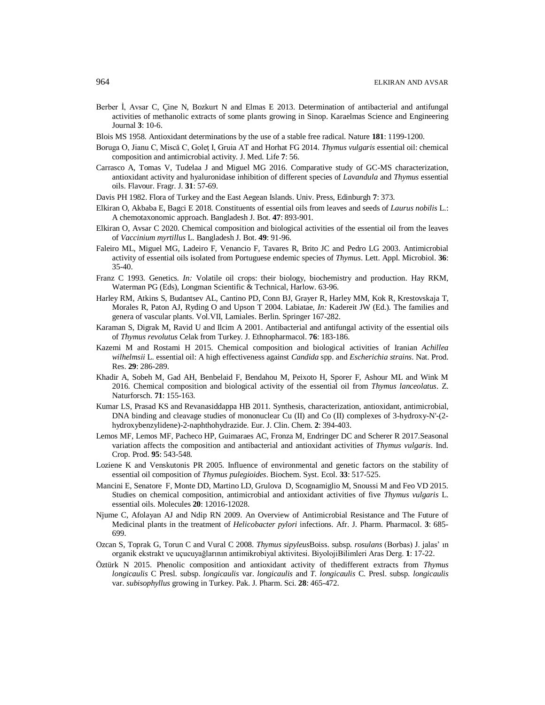- Berber İ, Avsar C, Çine N, Bozkurt N and Elmas E 2013. Determination of antibacterial and antifungal activities of methanolic extracts of some plants growing in Sinop. Karaelmas Science and Engineering Journal **3**: 10-6.
- Blois MS 1958. Antioxidant determinations by the use of a stable free radical. Nature **181**: 1199-1200.
- Boruga O, Jianu C, Miscă C, Goleţ I, Gruia AT and Horhat FG 2014. *Thymus vulgaris* essential oil: chemical composition and antimicrobial activity. J. Med. Life **7**: 56.
- Carrasco A, Tomas V, Tudelaa J and Miguel MG 2016. Comparative study of GC-MS characterization, antioxidant activity and hyaluronidase inhibition of different species of *Lavandula* and *Thymus* essential oils. Flavour. Fragr. J. **31**: 57-69.
- Davis PH 1982. Flora of Turkey and the East Aegean Islands. Univ. Press, Edinburgh **7**: 373.
- Elkiran O, Akbaba E, Bagci E 2018. Constituents of essential oils from leaves and seeds of *Laurus nobilis* L.: A chemotaxonomic approach. Bangladesh J. Bot. **47**: 893-901.
- Elkiran O, Avsar C 2020. Chemical composition and biological activities of the essential oil from the leaves of *Vaccinium myrtillus* L. Bangladesh J. Bot. **49**: 91-96.
- Faleiro ML, Miguel MG, Ladeiro F, Venancio F, Tavares R, Brito JC and Pedro LG 2003. Antimicrobial activity of essential oils isolated from Portuguese endemic species of *Thymus*. Lett. Appl. Microbiol. **36**: 35-40.
- Franz C 1993. Genetics. *In:* Volatile oil crops: their biology, biochemistry and production. Hay RKM, Waterman PG (Eds), Longman Scientific & Technical, Harlow. 63-96.
- Harley RM, Atkins S, Budantsev AL, Cantino PD, Conn BJ, Grayer R, Harley MM, Kok R, Krestovskaja T, Morales R, Paton AJ, Ryding O and Upson T 2004. Labiatae, *In:* Kadereit JW (Ed.). The families and genera of vascular plants. Vol.VII, Lamiales. Berlin. Springer 167-282.
- Karaman S, Digrak M, Ravid U and Ilcim A 2001. Antibacterial and antifungal activity of the essential oils of *Thymus revolutus* Celak from Turkey. J. Ethnopharmacol. **76**: 183-186.
- Kazemi M and Rostami H 2015. Chemical composition and biological activities of Iranian *Achillea wilhelmsii* L. essential oil: A high effectiveness against *Candida* spp. and *Escherichia strains*. Nat. Prod. Res. **29**: 286-289.
- Khadir A, Sobeh M, Gad AH, Benbelaid F, Bendahou M, Peixoto H, Sporer F, Ashour ML and Wink M 2016. Chemical composition and biological activity of the essential oil from *Thymus lanceolatus*. Z. Naturforsch. **71**: 155-163.
- Kumar LS, Prasad KS and Revanasiddappa HB 2011. Synthesis, characterization, antioxidant, antimicrobial, DNA binding and cleavage studies of mononuclear Cu (II) and Co (II) complexes of 3-hydroxy-N'-(2 hydroxybenzylidene)-2-naphthohydrazide. Eur. J. Clin. Chem. **2**: 394-403.
- Lemos MF, Lemos MF, Pacheco HP, Guimaraes AC, Fronza M, Endringer DC and Scherer R 2017.Seasonal variation affects the composition and antibacterial and antioxidant activities of *Thymus vulgaris*. Ind. Crop. Prod. **95**: 543-548.
- Loziene K and Venskutonis PR 2005. Influence of environmental and genetic factors on the stability of essential oil composition of *Thymus pulegioides*. Biochem. Syst. Ecol. **33**: 517-525.
- Mancini E, Senatore F, Monte DD, Martino LD, Grulova D, Scognamiglio M, Snoussi M and Feo VD 2015. Studies on chemical composition, antimicrobial and antioxidant activities of five *Thymus vulgaris* L. essential oils. Molecules **20**: 12016-12028.
- Njume C, Afolayan AJ and Ndip RN 2009. An Overview of Antimicrobial Resistance and The Future of Medicinal plants in the treatment of *Helicobacter pylori* infections. Afr. J. Pharm. Pharmacol. **3**: 685- 699.
- Ozcan S, Toprak G, Torun C and Vural C 2008. *Thymus sipyleus*Boiss. subsp. *rosulans* (Borbas) J. jalas' ın organik ekstrakt ve uçucuyağlarının antimikrobiyal aktivitesi. BiyolojiBilimleri Aras Derg. **1**: 17-22.
- Öztürk N 2015. Phenolic composition and antioxidant activity of thedifferent extracts from *Thymus longicaulis* C Presl. subsp. *longicaulis* var. *longicaulis* and *T. longicaulis* C. Presl. subsp. *longicaulis* var. *subisophyllus* growing in Turkey. Pak. J. Pharm. Sci. **28**: 465-472.